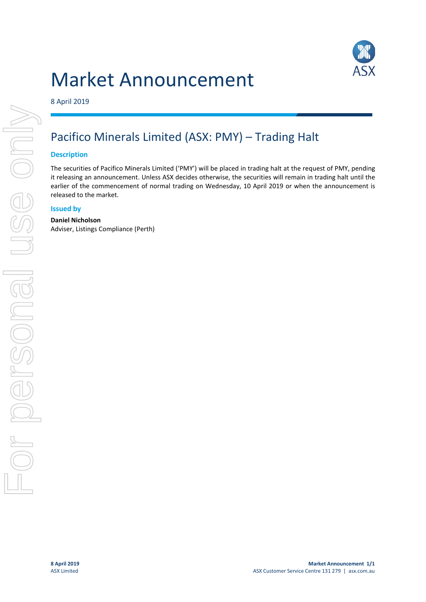# Market Announcement



8 April 2019

# Pacifico Minerals Limited (ASX: PMY) – Trading Halt

## **Description**

The securities of Pacifico Minerals Limited ('PMY') will be placed in trading halt at the request of PMY, pending it releasing an announcement. Unless ASX decides otherwise, the securities will remain in trading halt until the earlier of the commencement of normal trading on Wednesday, 10 April 2019 or when the announcement is released to the market.

# **Issued by**

### **Daniel Nicholson**

Adviser, Listings Compliance (Perth)